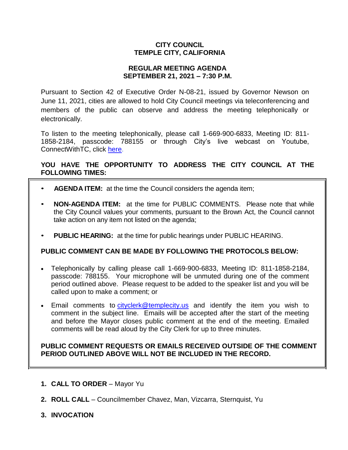# **CITY COUNCIL TEMPLE CITY, CALIFORNIA**

## **REGULAR MEETING AGENDA SEPTEMBER 21, 2021 – 7:30 P.M.**

Pursuant to Section 42 of Executive Order N-08-21, issued by Governor Newson on June 11, 2021, cities are allowed to hold City Council meetings via teleconferencing and members of the public can observe and address the meeting telephonically or electronically.

To listen to the meeting telephonically, please call 1-669-900-6833, Meeting ID: 811- 1858-2184, passcode: 788155 or through City's live webcast on Youtube, ConnectWithTC, click [here.](https://www.ci.temple-city.ca.us/516/Meeting-Webcast)

# **YOU HAVE THE OPPORTUNITY TO ADDRESS THE CITY COUNCIL AT THE FOLLOWING TIMES:**

- **AGENDA ITEM:** at the time the Council considers the agenda item;
- **NON-AGENDA ITEM:** at the time for PUBLIC COMMENTS. Please note that while the City Council values your comments, pursuant to the Brown Act, the Council cannot take action on any item not listed on the agenda;
- **PUBLIC HEARING:** at the time for public hearings under PUBLIC HEARING.

## **PUBLIC COMMENT CAN BE MADE BY FOLLOWING THE PROTOCOLS BELOW:**

- Telephonically by calling please call 1-669-900-6833, Meeting ID: 811-1858-2184, passcode: 788155. Your microphone will be unmuted during one of the comment period outlined above. Please request to be added to the speaker list and you will be called upon to make a comment; or
- Email comments to [cityclerk@templecity.us](mailto:cityclerk@templecity.us) and identify the item you wish to comment in the subject line. Emails will be accepted after the start of the meeting and before the Mayor closes public comment at the end of the meeting. Emailed comments will be read aloud by the City Clerk for up to three minutes.

## **PUBLIC COMMENT REQUESTS OR EMAILS RECEIVED OUTSIDE OF THE COMMENT PERIOD OUTLINED ABOVE WILL NOT BE INCLUDED IN THE RECORD.**

- **1. CALL TO ORDER**  Mayor Yu
- **2. ROLL CALL**  Councilmember Chavez, Man, Vizcarra, Sternquist, Yu
- **3. INVOCATION**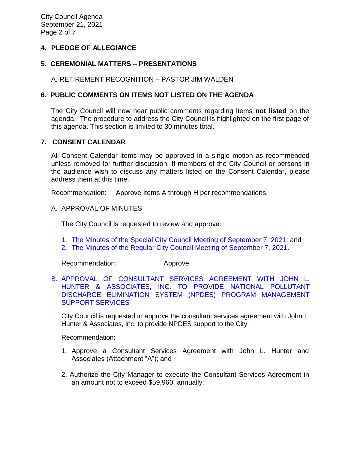City Council Agenda September 21, 2021 Page 2 of 7

# **4. PLEDGE OF ALLEGIANCE**

# **5. CEREMONIAL MATTERS – PRESENTATIONS**

A. RETIREMENT RECOGNITION – PASTOR JIM WALDEN

# **6. PUBLIC COMMENTS ON ITEMS NOT LISTED ON THE AGENDA**

The City Council will now hear public comments regarding items **not listed** on the agenda. The procedure to address the City Council is highlighted on the first page of this agenda. This section is limited to 30 minutes total.

## **7. CONSENT CALENDAR**

All Consent Calendar items may be approved in a single motion as recommended unless removed for further discussion. If members of the City Council or persons in the audience wish to discuss any matters listed on the Consent Calendar, please address them at this time.

Recommendation: Approve Items A through H per recommendations.

#### A. APPROVAL OF MINUTES

The City Council is requested to review and approve:

- 1. The Minutes of the Special [City Council Meeting of September 7, 2021;](https://www.ci.temple-city.ca.us/DocumentCenter/View/16761/7A1_CCM---2021-09-07-Special) and
- 2. [The Minutes of the Regular City Council Meeting of September 7, 2021.](https://www.ci.temple-city.ca.us/DocumentCenter/View/16762/7A2_CCM---2021-09-07)

Recommendation: Approve.

[B. APPROVAL OF CONSULTANT SERVICES AGREEMENT WITH JOHN L.](https://www.ci.temple-city.ca.us/DocumentCenter/View/16763/7B_NPDES_Staff-Report_JLHA_edited-9821_w-attachments)  [HUNTER & ASSOCIATES, INC. TO PROVIDE NATIONAL POLLUTANT](https://www.ci.temple-city.ca.us/DocumentCenter/View/16763/7B_NPDES_Staff-Report_JLHA_edited-9821_w-attachments)  [DISCHARGE ELIMINATION SYSTEM \(NPDES\) PROGRAM MANAGEMENT](https://www.ci.temple-city.ca.us/DocumentCenter/View/16763/7B_NPDES_Staff-Report_JLHA_edited-9821_w-attachments)  [SUPPORT SERVICES](https://www.ci.temple-city.ca.us/DocumentCenter/View/16763/7B_NPDES_Staff-Report_JLHA_edited-9821_w-attachments)

City Council is requested to approve the consultant services agreement with John L. Hunter & Associates, Inc. to provide NPDES support to the City.

Recommendation:

- 1. Approve a Consultant Services Agreement with John L. Hunter and Associates (Attachment "A"); and
- 2. Authorize the City Manager to execute the Consultant Services Agreement in an amount not to exceed \$59,960, annually.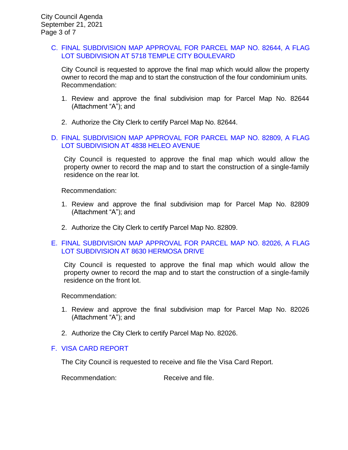### C. [FINAL SUBDIVISION MAP APPROVAL FOR PARCEL MAP NO. 82644, A FLAG](https://www.ci.temple-city.ca.us/DocumentCenter/View/16764/7C_Final-Subdivision-Map-Approval-5718-Temple-City_V1-Staff-Report_w-attachment)  [LOT SUBDIVISION AT 5718 TEMPLE CITY BOULEVARD](https://www.ci.temple-city.ca.us/DocumentCenter/View/16764/7C_Final-Subdivision-Map-Approval-5718-Temple-City_V1-Staff-Report_w-attachment)

City Council is requested to approve the final map which would allow the property owner to record the map and to start the construction of the four condominium units. Recommendation:

- 1. Review and approve the final subdivision map for Parcel Map No. 82644 (Attachment "A"); and
- 2. Authorize the City Clerk to certify Parcel Map No. 82644.

# D. [FINAL SUBDIVISION MAP APPROVAL FOR PARCEL MAP NO. 82809, A FLAG](https://www.ci.temple-city.ca.us/DocumentCenter/View/16771/7D_Final-Subdivision-Map-Approval-4838-Heleo-Ave_Staff-Report)  [LOT SUBDIVISION AT 4838 HELEO AVENUE](https://www.ci.temple-city.ca.us/DocumentCenter/View/16771/7D_Final-Subdivision-Map-Approval-4838-Heleo-Ave_Staff-Report)

City Council is requested to approve the final map which would allow the property owner to record the map and to start the construction of a single-family residence on the rear lot.

Recommendation:

- 1. Review and approve the final subdivision map for Parcel Map No. 82809 (Attachment "A"); and
- 2. Authorize the City Clerk to certify Parcel Map No. 82809.

## E. [FINAL SUBDIVISION MAP APPROVAL FOR PARCEL MAP NO. 82026, A FLAG](https://www.ci.temple-city.ca.us/DocumentCenter/View/16765/7D_Final-Map-82026---8630-Hermosa-Drive_Staff-Report-sr-edits_v1-w-attachment)  [LOT SUBDIVISION AT 8630 HERMOSA DRIVE](https://www.ci.temple-city.ca.us/DocumentCenter/View/16765/7D_Final-Map-82026---8630-Hermosa-Drive_Staff-Report-sr-edits_v1-w-attachment)

City Council is requested to approve the final map which would allow the property owner to record the map and to start the construction of a single-family residence on the front lot.

Recommendation:

- 1. Review and approve the final subdivision map for Parcel Map No. 82026 (Attachment "A"); and
- 2. Authorize the City Clerk to certify Parcel Map No. 82026.

#### F. [VISA CARD](https://www.ci.temple-city.ca.us/DocumentCenter/View/16766/7E_Visa-Card-Repot-9-21-21) REPORT

The City Council is requested to receive and file the Visa Card Report.

Recommendation: Receive and file.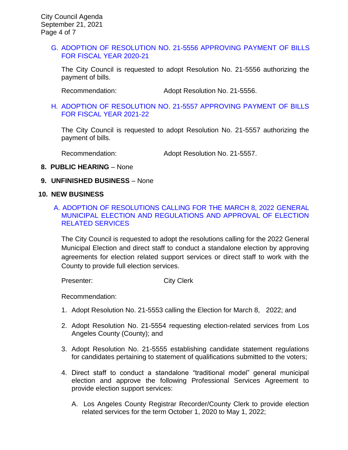### G. [ADOPTION OF RESOLUTION NO. 21-5556](https://www.ci.temple-city.ca.us/DocumentCenter/View/16779/7G_Reso-No-21-5556-092121---Warrants--Demands-FY-2020-2021) APPROVING PAYMENT OF BILLS [FOR FISCAL YEAR 2020-21](https://www.ci.temple-city.ca.us/DocumentCenter/View/16779/7G_Reso-No-21-5556-092121---Warrants--Demands-FY-2020-2021)

The City Council is requested to adopt Resolution No. 21-5556 authorizing the payment of bills.

Recommendation: Adopt Resolution No. 21-5556.

### H. [ADOPTION OF RESOLUTION NO. 21-5557](https://www.ci.temple-city.ca.us/DocumentCenter/View/16780/7H_Reso-No-21-5557-092121---Warrants--Demands-FY-2021-2022) APPROVING PAYMENT OF BILLS [FOR FISCAL YEAR 2021-22](https://www.ci.temple-city.ca.us/DocumentCenter/View/16780/7H_Reso-No-21-5557-092121---Warrants--Demands-FY-2021-2022)

The City Council is requested to adopt Resolution No. 21-5557 authorizing the payment of bills.

Recommendation: Adopt Resolution No. 21-5557.

### **8. PUBLIC HEARING** – None

### **9. UNFINISHED BUSINESS** – None

#### **10. NEW BUSINESS**

# A. ADOPTION [OF RESOLUTIONS CALLING FOR THE MARCH 8, 2022 GENERAL](https://www.ci.temple-city.ca.us/DocumentCenter/View/16769/10A_Election_Staff-Report_Resolutions-and-Service-Agreements_v4-CM-comments-2021-09-13_w-all-attachments)  [MUNICIPAL ELECTION AND REGULATIONS AND APPROVAL OF ELECTION](https://www.ci.temple-city.ca.us/DocumentCenter/View/16769/10A_Election_Staff-Report_Resolutions-and-Service-Agreements_v4-CM-comments-2021-09-13_w-all-attachments)  [RELATED SERVICES](https://www.ci.temple-city.ca.us/DocumentCenter/View/16769/10A_Election_Staff-Report_Resolutions-and-Service-Agreements_v4-CM-comments-2021-09-13_w-all-attachments)

The City Council is requested to adopt the resolutions calling for the 2022 General Municipal Election and direct staff to conduct a standalone election by approving agreements for election related support services or direct staff to work with the County to provide full election services.

Presenter: City Clerk

Recommendation:

- 1. Adopt Resolution No. 21-5553 calling the Election for March 8, 2022; and
- 2. Adopt Resolution No. 21-5554 requesting election-related services from Los Angeles County (County); and
- 3. Adopt Resolution No. 21-5555 establishing candidate statement regulations for candidates pertaining to statement of qualifications submitted to the voters;
- 4. Direct staff to conduct a standalone "traditional model" general municipal election and approve the following Professional Services Agreement to provide election support services:
	- A. Los Angeles County Registrar Recorder/County Clerk to provide election related services for the term October 1, 2020 to May 1, 2022;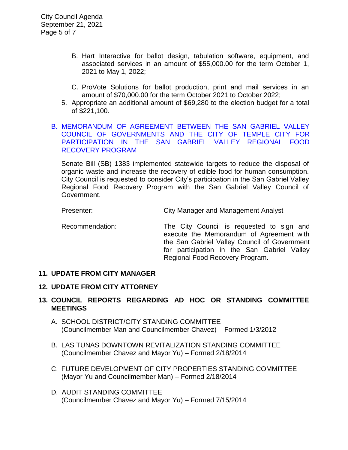- B. Hart Interactive for ballot design, tabulation software, equipment, and associated services in an amount of \$55,000.00 for the term October 1, 2021 to May 1, 2022;
- C. ProVote Solutions for ballot production, print and mail services in an amount of \$70,000.00 for the term October 2021 to October 2022;
- 5. Appropriate an additional amount of \$69,280 to the election budget for a total of \$221,100.

## [B. MEMORANDUM OF AGREEMENT BETWEEN THE SAN GABRIEL VALLEY](https://www.ci.temple-city.ca.us/DocumentCenter/View/16770/10B_Food-Recovery-Program-Staff-Report-w-attachments)  [COUNCIL OF GOVERNMENTS AND THE CITY OF TEMPLE CITY FOR](https://www.ci.temple-city.ca.us/DocumentCenter/View/16770/10B_Food-Recovery-Program-Staff-Report-w-attachments)  [PARTICIPATION IN THE SAN GABRIEL VALLEY REGIONAL FOOD](https://www.ci.temple-city.ca.us/DocumentCenter/View/16770/10B_Food-Recovery-Program-Staff-Report-w-attachments)  [RECOVERY PROGRAM](https://www.ci.temple-city.ca.us/DocumentCenter/View/16770/10B_Food-Recovery-Program-Staff-Report-w-attachments)

Senate Bill (SB) 1383 implemented statewide targets to reduce the disposal of organic waste and increase the recovery of edible food for human consumption. City Council is requested to consider City's participation in the San Gabriel Valley Regional Food Recovery Program with the San Gabriel Valley Council of Government.

Presenter: City Manager and Management Analyst

Recommendation: The City Council is requested to sign and execute the Memorandum of Agreement with the San Gabriel Valley Council of Government for participation in the San Gabriel Valley Regional Food Recovery Program.

## **11. UPDATE FROM CITY MANAGER**

## **12. UPDATE FROM CITY ATTORNEY**

# **13. COUNCIL REPORTS REGARDING AD HOC OR STANDING COMMITTEE MEETINGS**

- A. SCHOOL DISTRICT/CITY STANDING COMMITTEE (Councilmember Man and Councilmember Chavez) – Formed 1/3/2012
- B. LAS TUNAS DOWNTOWN REVITALIZATION STANDING COMMITTEE (Councilmember Chavez and Mayor Yu) – Formed 2/18/2014
- C. FUTURE DEVELOPMENT OF CITY PROPERTIES STANDING COMMITTEE (Mayor Yu and Councilmember Man) – Formed 2/18/2014
- D. AUDIT STANDING COMMITTEE (Councilmember Chavez and Mayor Yu) – Formed 7/15/2014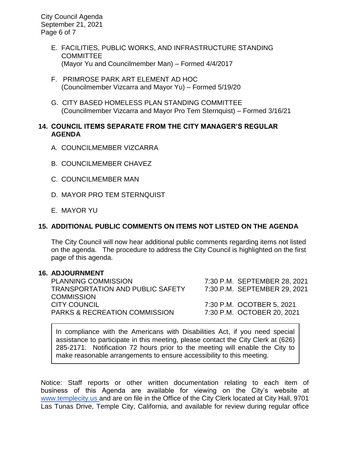City Council Agenda September 21, 2021 Page 6 of 7

- E. FACILITIES, PUBLIC WORKS, AND INFRASTRUCTURE STANDING **COMMITTEE** (Mayor Yu and Councilmember Man) – Formed 4/4/2017
- F. PRIMROSE PARK ART ELEMENT AD HOC (Councilmember Vizcarra and Mayor Yu) – Formed 5/19/20
- G. CITY BASED HOMELESS PLAN STANDING COMMITTEE (Councilmember Vizcarra and Mayor Pro Tem Sternquist) – Formed 3/16/21

# **14. COUNCIL ITEMS SEPARATE FROM THE CITY MANAGER'S REGULAR AGENDA**

- A. COUNCILMEMBER VIZCARRA
- B. COUNCILMEMBER CHAVEZ
- C. COUNCILMEMBER MAN
- D. MAYOR PRO TEM STERNQUIST
- E. MAYOR YU

# **15. ADDITIONAL PUBLIC COMMENTS ON ITEMS NOT LISTED ON THE AGENDA**

The City Council will now hear additional public comments regarding items not listed on the agenda. The procedure to address the City Council is highlighted on the first page of this agenda.

#### **16. ADJOURNMENT**

PLANNING COMMISSION 7:30 P.M. SEPTEMBER 28, 2021 TRANSPORTATION AND PUBLIC SAFETY 7:30 P.M. SEPTEMBER 29, 2021 **COMMISSION** CITY COUNCIL 7:30 P.M. OCOTBER 5, 2021 PARKS & RECREATION COMMISSION 7:30 P.M. OCTOBER 20, 2021

In compliance with the Americans with Disabilities Act, if you need special assistance to participate in this meeting, please contact the City Clerk at (626) 285-2171. Notification 72 hours prior to the meeting will enable the City to make reasonable arrangements to ensure accessibility to this meeting.

Notice: Staff reports or other written documentation relating to each item of business of this Agenda are available for viewing on the City's website a[t](about:blank) [www.templecity.us](about:blank) and are on file in the Office of the City Clerk located at City Hall, 9701 Las Tunas Drive, Temple City, California, and available for review during regular office